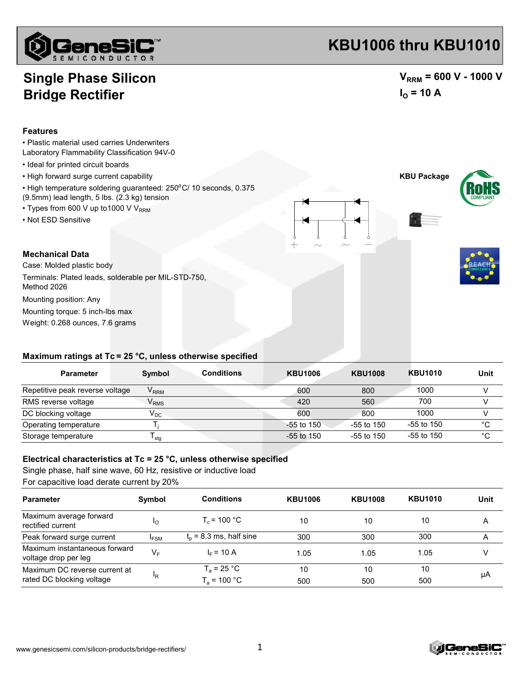

## **KBU1006 thru KBU1010**

## **Single Phase Silicon Bridge Rectifier**

### $V_{\text{RRM}}$  = 600 V - 1000 V  $I<sub>O</sub>$  = 10 A

#### **Features**

- Plastic material used carries Underwriters
- Laboratory Flammability Classification 94V-0
- Ideal for printed circuit boards
- High forward surge current capability **KBU Package**
- High temperature soldering guaranteed: 250°C/ 10 seconds, 0.375
- (9.5mm) lead length, 5 lbs. (2.3 kg) tension • Types from 600 V up to 1000 V V<sub>RRM</sub>
- 
- Not ESD Sensitive

#### **Mechanical Data**

Weight: 0.268 ounces, 7.6 grams Mounting torque: 5 inch-lbs max Case: Molded plastic body Terminals: Plated leads, solderable per MIL-STD-750, Method 2026 Mounting position: Any

#### **Maximum ratings at Tc = 25 °C, unless otherwise specified**

| <b>Parameter</b>                | Symbol                      | <b>Conditions</b> | <b>KBU1006</b> | <b>KBU1008</b> | <b>KBU1010</b> | Unit        |
|---------------------------------|-----------------------------|-------------------|----------------|----------------|----------------|-------------|
| Repetitive peak reverse voltage | $\mathsf{V}_{\mathsf{RRM}}$ |                   | 600            | 800            | 1000           |             |
| RMS reverse voltage             | $\mathsf{V}_{\mathsf{RMS}}$ |                   | 420            | 560            | 700            |             |
| DC blocking voltage             | $\mathsf{V}_\mathsf{DC}$    |                   | 600            | 800            | 1000           |             |
| Operating temperature           |                             |                   | $-55$ to 150   | $-55$ to 150   | $-55$ to 150   | $^{\circ}C$ |
| Storage temperature             | <sup>I</sup> stq            |                   | $-55$ to 150   | $-55$ to 150   | $-55$ to 150   | °C          |

#### **Electrical characteristics at Tc = 25 °C, unless otherwise specified**

Single phase, half sine wave, 60 Hz, resistive or inductive load For capacitive load derate current by 20%

| <b>Parameter</b>                                      | Symbol                | <b>Conditions</b>         | <b>KBU1006</b> | <b>KBU1008</b> | <b>KBU1010</b> | Unit |
|-------------------------------------------------------|-----------------------|---------------------------|----------------|----------------|----------------|------|
| Maximum average forward<br>rectified current          | $\mathsf{I}_{\Omega}$ | $T_c$ = 100 °C            | 10             | 10             | 10             | Α    |
| Peak forward surge current                            | <sup>I</sup> FSM      | $t_0$ = 8.3 ms, half sine | 300            | 300            | 300            | Α    |
| Maximum instantaneous forward<br>voltage drop per leg | $V_F$                 | $IE = 10 A$               | 1.05           | 1.05           | 1.05           |      |
| Maximum DC reverse current at                         | <sup>I</sup> R        | $T_a = 25 °C$             | 10             | 10             | 10             | μA   |
| rated DC blocking voltage                             |                       | $T_a = 100 °C$            | 500            | 500            | 500            |      |



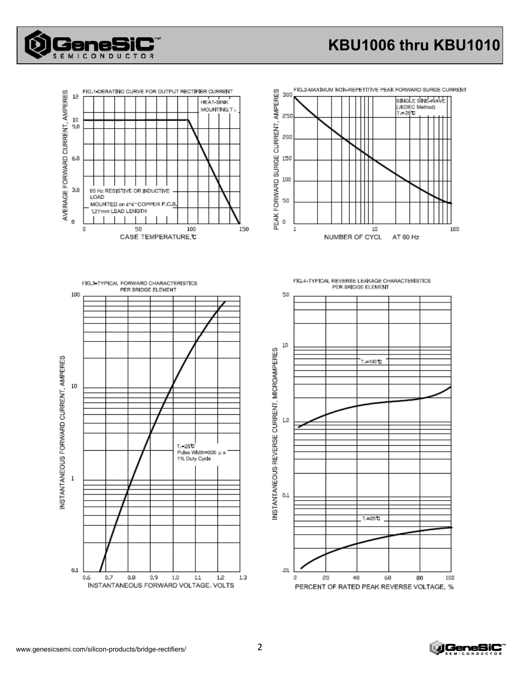